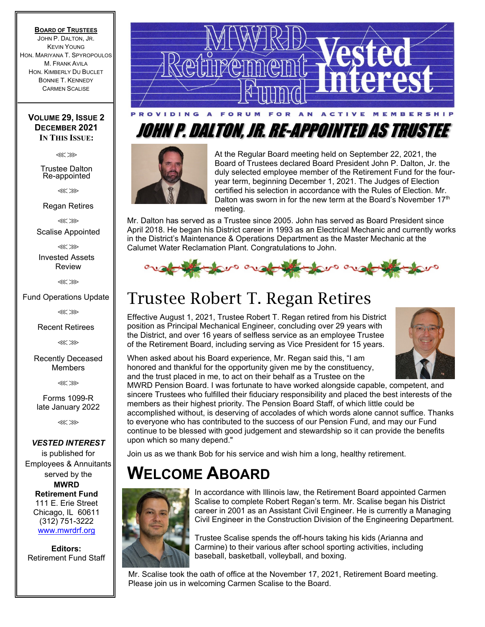#### **BOARD OF TRUSTEES**

JOHN P. DALTON, JR. KEVIN YOUNG HON. MARIYANA T. SPYROPOULOS **M. FRANK AVILA** HON. KIMBERLY DU BUCLET BONNIE T. KENNEDY CARMEN SCALISE

### **VOLUME 29, ISSUE 2 DECEMBER 2021 IN THIS ISSUE:**

⋘⋙

Trustee Dalton Re-appointed

⋘⋙

Regan Retires

⋘⋙ Scalise Appointed

⋘⋙

Invested Assets Review

⋘⋙

### Fund Operations Update

⋘⋙

Recent Retirees

⋘⋙

Recently Deceased **Members** 

⋘⋙

Forms 1099-R late January 2022

⋘⋙

#### *VESTED INTEREST*

is published for Employees & Annuitants served by the **MWRD Retirement Fund**  111 E. Erie Street Chicago, IL 60611 (312) 751-3222 www.mwrdrf.org

**Editors:**  Retirement Fund Staff



# JOHN P. DALTON, JR. RE-APPOINTED AS TRUSTEE



At the Regular Board meeting held on September 22, 2021, the Board of Trustees declared Board President John P. Dalton, Jr. the duly selected employee member of the Retirement Fund for the fouryear term, beginning December 1, 2021. The Judges of Election certified his selection in accordance with the Rules of Election. Mr. Dalton was sworn in for the new term at the Board's November 17<sup>th</sup> meeting.

Mr. Dalton has served as a Trustee since 2005. John has served as Board President since April 2018. He began his District career in 1993 as an Electrical Mechanic and currently works in the District's Maintenance & Operations Department as the Master Mechanic at the Calumet Water Reclamation Plant. Congratulations to John.



## Trustee Robert T. Regan Retires

Effective August 1, 2021, Trustee Robert T. Regan retired from his District position as Principal Mechanical Engineer, concluding over 29 years with the District, and over 16 years of selfless service as an employee Trustee of the Retirement Board, including serving as Vice President for 15 years.



When asked about his Board experience, Mr. Regan said this, "I am honored and thankful for the opportunity given me by the constituency, and the trust placed in me, to act on their behalf as a Trustee on the

MWRD Pension Board. I was fortunate to have worked alongside capable, competent, and sincere Trustees who fulfilled their fiduciary responsibility and placed the best interests of the members as their highest priority. The Pension Board Staff, of which little could be accomplished without, is deserving of accolades of which words alone cannot suffice. Thanks to everyone who has contributed to the success of our Pension Fund, and may our Fund continue to be blessed with good judgement and stewardship so it can provide the benefits upon which so many depend."

Join us as we thank Bob for his service and wish him a long, healthy retirement.

### **WELCOME ABOARD**



In accordance with Illinois law, the Retirement Board appointed Carmen Scalise to complete Robert Regan's term. Mr. Scalise began his District career in 2001 as an Assistant Civil Engineer. He is currently a Managing Civil Engineer in the Construction Division of the Engineering Department.

Trustee Scalise spends the off-hours taking his kids (Arianna and Carmine) to their various after school sporting activities, including baseball, basketball, volleyball, and boxing.

Mr. Scalise took the oath of office at the November 17, 2021, Retirement Board meeting. Please join us in welcoming Carmen Scalise to the Board.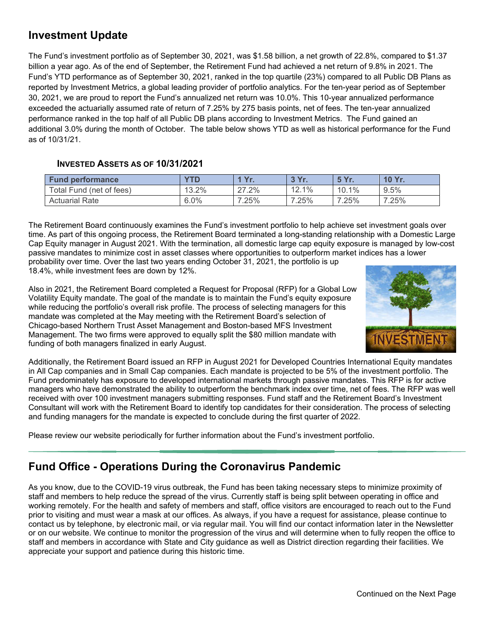### **Investment Update**

The Fund's investment portfolio as of September 30, 2021, was \$1.58 billion, a net growth of 22.8%, compared to \$1.37 billion a year ago. As of the end of September, the Retirement Fund had achieved a net return of 9.8% in 2021. The Fund's YTD performance as of September 30, 2021, ranked in the top quartile (23%) compared to all Public DB Plans as reported by Investment Metrics, a global leading provider of portfolio analytics. For the ten-year period as of September 30, 2021, we are proud to report the Fund's annualized net return was 10.0%. This 10-year annualized performance exceeded the actuarially assumed rate of return of 7.25% by 275 basis points, net of fees. The ten-year annualized performance ranked in the top half of all Public DB plans according to Investment Metrics. The Fund gained an additional 3.0% during the month of October. The table below shows YTD as well as historical performance for the Fund as of 10/31/21.

### **INVESTED ASSETS AS OF 10/31/2021**

| <b>Fund performance</b>  | YTD   | $\mathbf{V}$ r<br>. | 3 Yr. | <b>5 Yr.</b> | <b>10 Yr</b> |
|--------------------------|-------|---------------------|-------|--------------|--------------|
| Total Fund (net of fees) | 13.2% | 27.2%               | 12.1% | 10.1%        | 9.5%         |
| <b>Actuarial Rate</b>    | 6.0%  | 7.25%               | 7.25% | 7.25%        | 7.25%        |

The Retirement Board continuously examines the Fund's investment portfolio to help achieve set investment goals over time. As part of this ongoing process, the Retirement Board terminated a long-standing relationship with a Domestic Large Cap Equity manager in August 2021. With the termination, all domestic large cap equity exposure is managed by low-cost passive mandates to minimize cost in asset classes where opportunities to outperform market indices has a lower probability over time. Over the last two years ending October 31, 2021, the portfolio is up 18.4%, while investment fees are down by 12%.

Also in 2021, the Retirement Board completed a Request for Proposal (RFP) for a Global Low Volatility Equity mandate. The goal of the mandate is to maintain the Fund's equity exposure while reducing the portfolio's overall risk profile. The process of selecting managers for this mandate was completed at the May meeting with the Retirement Board's selection of Chicago-based Northern Trust Asset Management and Boston-based MFS Investment Management. The two firms were approved to equally split the \$80 million mandate with funding of both managers finalized in early August.



Additionally, the Retirement Board issued an RFP in August 2021 for Developed Countries International Equity mandates in All Cap companies and in Small Cap companies. Each mandate is projected to be 5% of the investment portfolio. The Fund predominately has exposure to developed international markets through passive mandates. This RFP is for active managers who have demonstrated the ability to outperform the benchmark index over time, net of fees. The RFP was well received with over 100 investment managers submitting responses. Fund staff and the Retirement Board's Investment Consultant will work with the Retirement Board to identify top candidates for their consideration. The process of selecting and funding managers for the mandate is expected to conclude during the first quarter of 2022.

Please review our website periodically for further information about the Fund's investment portfolio.

### **Fund Office - Operations During the Coronavirus Pandemic**

As you know, due to the COVID-19 virus outbreak, the Fund has been taking necessary steps to minimize proximity of staff and members to help reduce the spread of the virus. Currently staff is being split between operating in office and working remotely. For the health and safety of members and staff, office visitors are encouraged to reach out to the Fund prior to visiting and must wear a mask at our offices. As always, if you have a request for assistance, please continue to contact us by telephone, by electronic mail, or via regular mail. You will find our contact information later in the Newsletter or on our website. We continue to monitor the progression of the virus and will determine when to fully reopen the office to staff and members in accordance with State and City guidance as well as District direction regarding their facilities. We appreciate your support and patience during this historic time.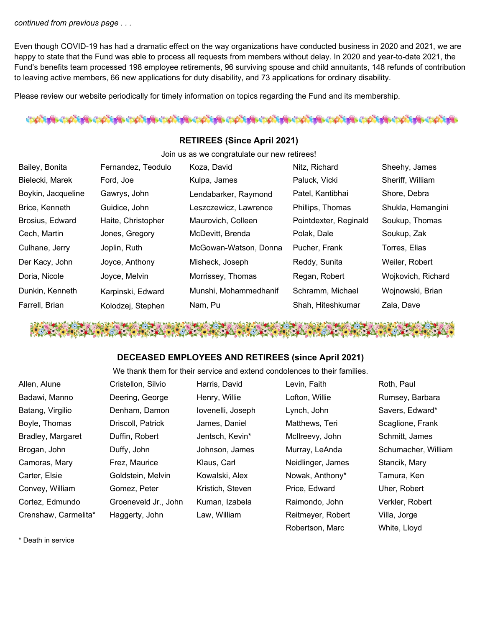### *continued from previous page . . .*

Even though COVID-19 has had a dramatic effect on the way organizations have conducted business in 2020 and 2021, we are happy to state that the Fund was able to process all requests from members without delay. In 2020 and year-to-date 2021, the Fund's benefits team processed 198 employee retirements, 96 surviving spouse and child annuitants, 148 refunds of contribution to leaving active members, 66 new applications for duty disability, and 73 applications for ordinary disability.

Please review our website periodically for timely information on topics regarding the Fund and its membership.

### ර්කම් වෙන්න් කර ගන්නේ. මෙම මෙන්ම මෙන්ම කර ගන්නේ මෙම මෙන්ම මෙන්

### **RETIREES (Since April 2021)**

Join us as we congratulate our new retirees!

| Bailey, Bonita     | Fernandez, Teodulo | Koza, David           | Nitz, Richard         | Sheehy, James      |
|--------------------|--------------------|-----------------------|-----------------------|--------------------|
| Bielecki, Marek    | Ford, Joe          | Kulpa, James          | Paluck, Vicki         | Sheriff, William   |
| Boykin, Jacqueline | Gawrys, John       | Lendabarker, Raymond  | Patel, Kantibhai      | Shore, Debra       |
| Brice, Kenneth     | Guidice, John      | Leszczewicz, Lawrence | Phillips, Thomas      | Shukla, Hemangini  |
| Brosius, Edward    | Haite, Christopher | Maurovich, Colleen    | Pointdexter, Reginald | Soukup, Thomas     |
| Cech, Martin       | Jones, Gregory     | McDevitt, Brenda      | Polak, Dale           | Soukup, Zak        |
| Culhane, Jerry     | Joplin, Ruth       | McGowan-Watson, Donna | Pucher, Frank         | Torres, Elias      |
| Der Kacy, John     | Joyce, Anthony     | Misheck, Joseph       | Reddy, Sunita         | Weiler, Robert     |
| Doria, Nicole      | Joyce, Melvin      | Morrissey, Thomas     | Regan, Robert         | Wojkovich, Richard |
| Dunkin, Kenneth    | Karpinski, Edward  | Munshi, Mohammedhanif | Schramm, Michael      | Wojnowski, Brian   |
| Farrell, Brian     | Kolodzej, Stephen  | Nam, Pu               | Shah, Hiteshkumar     | Zala, Dave         |

### **DECEASED EMPLOYEES AND RETIREES (since April 2021)**

We thank them for their service and extend condolences to their families.

| Allen, Alune         | Cristellon, Silvio   | Harris, David     | Levin, Faith      | Roth, Paul          |
|----------------------|----------------------|-------------------|-------------------|---------------------|
| Badawi, Manno        | Deering, George      | Henry, Willie     | Lofton, Willie    | Rumsey, Barbara     |
| Batang, Virgilio     | Denham, Damon        | lovenelli, Joseph | Lynch, John       | Savers, Edward*     |
| Boyle, Thomas        | Driscoll, Patrick    | James, Daniel     | Matthews, Teri    | Scaglione, Frank    |
| Bradley, Margaret    | Duffin, Robert       | Jentsch, Kevin*   | McIlreevy, John   | Schmitt, James      |
| Brogan, John         | Duffy, John          | Johnson, James    | Murray, LeAnda    | Schumacher, William |
| Camoras, Mary        | Frez, Maurice        | Klaus, Carl       | Neidlinger, James | Stancik, Mary       |
| Carter, Elsie        | Goldstein, Melvin    | Kowalski, Alex    | Nowak, Anthony*   | Tamura, Ken         |
| Convey, William      | Gomez, Peter         | Kristich, Steven  | Price, Edward     | Uher, Robert        |
| Cortez, Edmundo      | Groeneveld Jr., John | Kuman, Izabela    | Raimondo, John    | Verkler, Robert     |
| Crenshaw, Carmelita* | Haggerty, John       | Law, William      | Reitmeyer, Robert | Villa, Jorge        |
|                      |                      |                   | Robertson, Marc   | White, Lloyd        |

\* Death in service